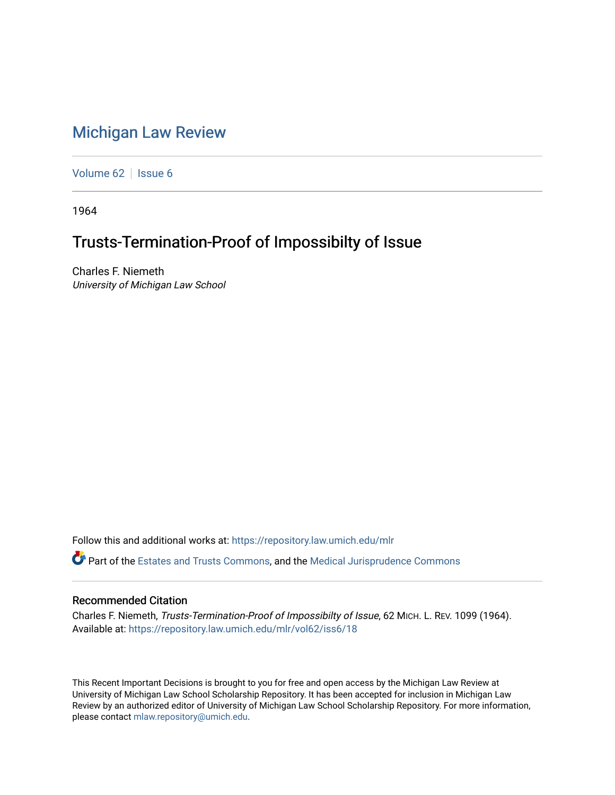## [Michigan Law Review](https://repository.law.umich.edu/mlr)

[Volume 62](https://repository.law.umich.edu/mlr/vol62) | [Issue 6](https://repository.law.umich.edu/mlr/vol62/iss6)

1964

## Trusts-Termination-Proof of Impossibilty of Issue

Charles F. Niemeth University of Michigan Law School

Follow this and additional works at: [https://repository.law.umich.edu/mlr](https://repository.law.umich.edu/mlr?utm_source=repository.law.umich.edu%2Fmlr%2Fvol62%2Fiss6%2F18&utm_medium=PDF&utm_campaign=PDFCoverPages) 

Part of the [Estates and Trusts Commons,](http://network.bepress.com/hgg/discipline/906?utm_source=repository.law.umich.edu%2Fmlr%2Fvol62%2Fiss6%2F18&utm_medium=PDF&utm_campaign=PDFCoverPages) and the [Medical Jurisprudence Commons](http://network.bepress.com/hgg/discipline/860?utm_source=repository.law.umich.edu%2Fmlr%2Fvol62%2Fiss6%2F18&utm_medium=PDF&utm_campaign=PDFCoverPages) 

## Recommended Citation

Charles F. Niemeth, Trusts-Termination-Proof of Impossibilty of Issue, 62 MICH. L. REV. 1099 (1964). Available at: [https://repository.law.umich.edu/mlr/vol62/iss6/18](https://repository.law.umich.edu/mlr/vol62/iss6/18?utm_source=repository.law.umich.edu%2Fmlr%2Fvol62%2Fiss6%2F18&utm_medium=PDF&utm_campaign=PDFCoverPages) 

This Recent Important Decisions is brought to you for free and open access by the Michigan Law Review at University of Michigan Law School Scholarship Repository. It has been accepted for inclusion in Michigan Law Review by an authorized editor of University of Michigan Law School Scholarship Repository. For more information, please contact [mlaw.repository@umich.edu.](mailto:mlaw.repository@umich.edu)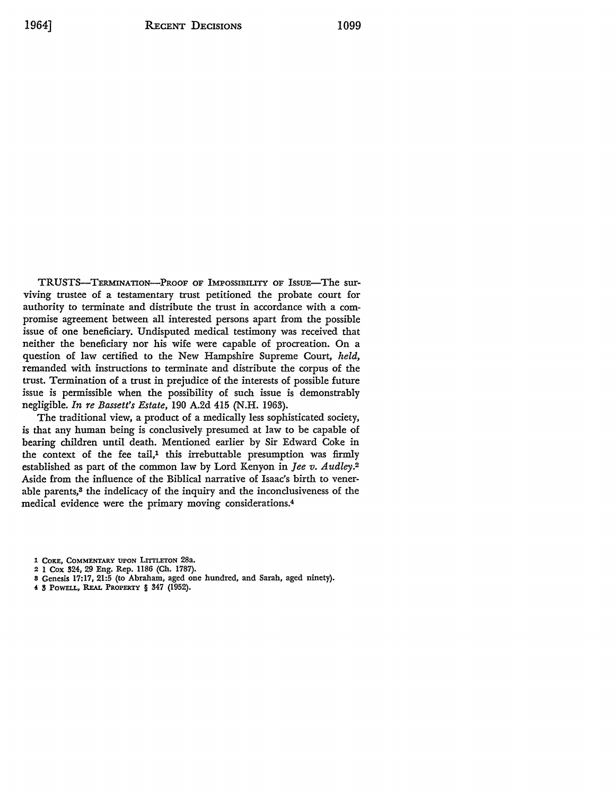TRUSTS-TERMINATION-PROOF OF IMPOSSIBILITY OF ISSUE-The surviving trustee of a testamentary trust petitioned the probate court for authority to terminate and distribute the trust in accordance with a compromise agreement between all interested persons apart from the possible issue of one beneficiary. Undisputed medical testimony was received that neither the beneficiary nor his wife were capable of procreation. On a question of law certified to the New Hampshire Supreme Court, *held,*  remanded with instructions to terminate and distribute the corpus of the trust. Termination of a trust in prejudice of the interests of possible future issue is permissible when the possibility of such issue is demonstrably negligible. *In re Bassett's Estate,* 190 A.2d 415 (N.H. 1963).

The traditional view, a product of a medically less sophisticated society, is that any human being is conclusively presumed at law to be capable of bearing children until death. Mentioned earlier by Sir Edward Coke in the context of the fee tail,<sup>1</sup> this irrebuttable presumption was firmly established as part of the common law by Lord Kenyon in *Jee v. Audley.*<sup>2</sup> Aside from the influence of the Biblical narrative of Isaac's birth to venerable parents,<sup>3</sup> the indelicacy of the inquiry and the inconclusiveness of the medical evidence were the primary moving considerations.<sup>4</sup>

- 1 COKE, COMMENTARY UPON LITTLETON 28a.
- **2 l Cox !124,** 29 **Eng. Rep.** 1186 **(Ch.** 1787).
- **8 Genesis 17:17, 21:5 (to** Abraham, aged one **hundred,** and Sarah, aged ninety).
- **4 3 POWELL, REAL PROPERTY § 347 (1952).**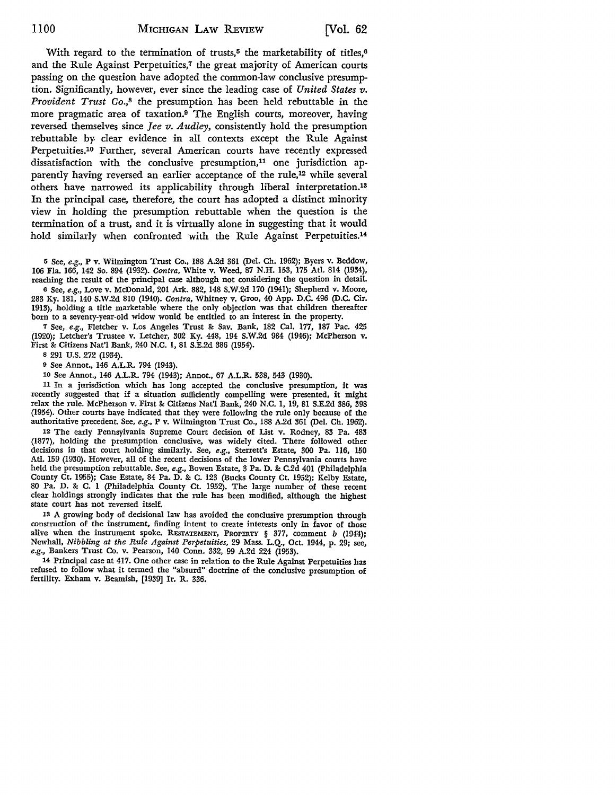With regard to the termination of trusts,<sup>5</sup> the marketability of titles,<sup>6</sup> and the Rule Against Perpetuities,<sup>7</sup> the great majority of American courts passing on the question have adopted the common-law conclusive presumption. Significantly, however, ever since the leading case of *United States v. Provident Trust Co.,*8 the presumption has been held rebuttable in the more pragmatic area of taxation.9 The English courts, moreover, having reversed themselves since *Jee v. Audley,* consistently hold the presumption rebuttable by, clear evidence in all contexts except the Rule Against Perpetuities.1° Further, several American courts have recently expressed dissatisfaction with the conclusive presumption,<sup>11</sup> one jurisdiction apparently having reversed an earlier acceptance of the rule,12 while several others have narrowed its applicability through liberal interpretation.13 In the principal case, therefore, the court has adopted a distinct minority view in holding the presumption rebuttable when the question is the termination of a trust, and it is virtually alone in suggesting that it would hold similarly when confronted with the Rule Against Perpetuities.<sup>14</sup>

5 See, *e.g.,* P v. Wilmington Trust Co., 188 A.2d 361 (Del. Ch. 1962); Byers v. Beddow, 106 Fla. 166, 142 So. 894 (1932). *Contra,* White v. Weed, 87 N.H. 153, 175 Atl. 814 (1934), reaching the result of the principal case although not considering the question in detail.

<sup>6</sup>See, *e.g.,* Love v. McDonald, 201 Ark. 882, 148 S.W.2d 170 (1941); Shepherd v. Moore, 283 Ky. 181, 140 S.W.2d 810 (1940). *Contra,* Whitney v. Groo, 40 App. D.C. 496 (D.C. Cir. 1913), holding a title marketable where the only objection was that children thereafter born to a seventy-year-old widow would be entitled to an interest in the property.

'1 See, *e.g.,* Fletcher v. Los Angeles Trust &: Sav. Bank, 182 Cal. 177, 187 Pac. 425 (1920); Letcher's Trustee v. Letcher, 302 Ky. 448, 194 S.W.2d 984 (1946); McPherson v. First &: Citizens Nat'l Bank, 240 N.C. 1, 81 S.E.2d 386 (1954).

8 291 U.S. 272 (1934).

9 See Annot., 146 A.L.R. 794 (1943).

10 See Annot., 146 A.L.R. 794 (1943); Annot., 67 A.L.R. 538, 543 (1930).

<sup>11</sup>In a jurisdiction which has long accepted the conclusive presumption, it was recently suggested that if a situation sufficiently compelling were presented, it might relax the rule. McPherson v. First & Citizens Nat'l Bank, 240 N.C. 1, 19, 81 S.E.2d 386, 398 (1954). Other courts have indicated that they were following the rule only because of the authoritative precedent. See, *e.g.,* P v. Wilmington Trust Co., 188 A.2d 361 (Del. Ch. 1962).

12 The early Pennsylvania Supreme Court decision of List v. Rodney, 83 Pa. 483 (1877), holding the presumption conclusive, was widely cited. There followed other decisions in that court holding similarly. See, *e.g.,* Sterrett's Estate, 300 Pa. 116, 150 Atl. 159 (1930). However, all of the recent decisions of the lower Pennsylvania courts have held the presumption rebuttable. See, *e.g.,* Bowen Estate, 3 Pa. D. &: C.2d 401 (Philadelphia County Ct. 1955); Case Estate, 84 Pa. D. & C. 123 (Bucks County Ct. 1952); Kelby Estate, 80 Pa. D. &: C. 1 (Philadelphia County Ct. 1952). The large number of these recent clear holdings strongly indicates that the rule has been modified, although the highest state court has not reversed itself.

13 A growing body of decisional law has avoided the conclusive presumption through construction of the instrument, finding intent to create interests only in favor of those alive when the instrument spoke. RESTATEMENT, PROPERTY  $§$  377, comment *b* (1944); Newhall, *Nibbling at the Rule Against Perpetuities,* 29 Mass. L.Q., Oct. 1944, p. 29; see, *e.g.,* Bankers Trust Co. v. Pearson, 140 Conn. 332, 99 A.2d 224 (1953).

14 Principal case at 417. One other case in relation to the Rule Against Perpetuities has refused to follow what it termed the "absurd" doctrine of the conclusive presumption of fertility. Exham v. Beamish, [1939] Ir. R. 336.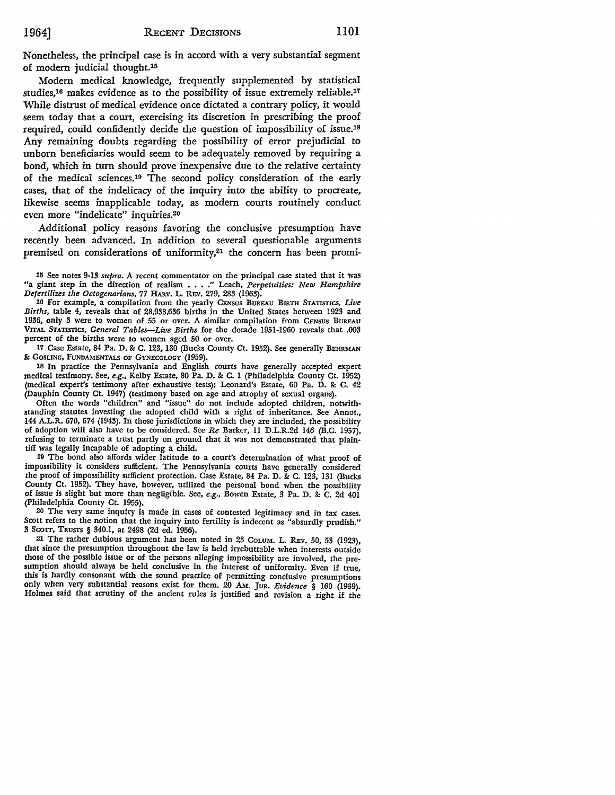Nonetheless, the principal case is in accord with a very substantial segment of modern judicial thought.<sup>15</sup>

Modem medical knowledge, frequently supplemented by statistical studies,<sup>16</sup> makes evidence as to the possibility of issue extremely reliable.<sup>17</sup> While distrust of medical evidence once dictated a contrary policy, it would seem today that a court, exercising its discretion in prescribing the proof required, could confidently decide the question of impossibility of issue.18 Any remaining doubts regarding the possibility of error prejudicial to unborn beneficiaries would seem to be adequately removed by requiring a bond, which in tum should prove inexpensive due to the relative certainty of the medical sciences.19 The second policy consideration of the early cases, that of the indelicacy of the inquiry into the ability to procreate, likewise seems inapplicable today, as modem courts routinely conduct even more "indelicate" inquiries.20

Additional policy reasons favoring the conclusive presumption have recently been advanced. In addition to several questionable arguments premised on considerations of uniformity,<sup>21</sup> the concern has been promi-

16 For example, a compilation from the yearly CENSUS BUREAU BIRTH STATISTICS, *Live Births,* table 4, reveals that of 28,938,636 births in the United States between 1923 and 1936, only 3 were to women of 55 or over. A similar compilation from CENSUS BUREAU **VITAL** STATISTICS, *General Tables-Live Births* for the decade 1951-1960 reveals that .003 percent of the births were to women aged 50 or over.

17 Case Estate, 84 Pa. D. & C. 123, 130 (Bucks County Ct. 1952). See generally BEHRMAN &: GOSLING, FUNDAMENTALS OF GYNECOLOGY (1959).

18 In practice the Pennsylvania and English courts have generally accepted expert medical testimony. See, *e.g.,* Kelby Estate, 80 Pa. D. &: C. I (Philadelphia County Ct. 1952) (medical expert's testimony after exhaustive tests); Leonard's Estate, 60 Pa. D. &: C. 42 (Dauphin County Ct. 1947) (testimony based on age and atrophy of sexual organs).

Often the words "children" and "issue" do not include adopted children, notwithstanding statutes investing the adopted child with a right of inheritance. See Annot., 144 A.L.R. 670, 674 (1943). In those jurisdictions in which they are included, the possibility of adoption will also have to be considered. See *Re* Barker, II D.L.R.2d 146 (B.C. 1957), refusing to terminate a trust partly on ground that it was not demonstrated that plain• tiff was legally incapable of adopting a child.

19 The bond also affords wider latitude to a court's determination of what proof of impossibility it considers sufficient. The Pennsylvania courts have generally considered the proof of impossibility sufficient protection. Case Estate, 84 Pa. D. & C. 123, 131 (Bucks County Ct. 1952). They have, however, utilized the personal bond when the possibility of issue is slight but more than negligible. See, *e.g.,* Bowen Estate, 3 Pa. D. &: C. 2d 401 (Philadelphia County Ct. 1955).

20 The very same inquiry is made in cases of contested legitimacy and in tax cases. Scott refers to the notion that the inquiry into fertility is indecent as "absurdly prudish." 3 Scorr, TRusrs § 340.1, at 2498 (2d ed. 1956).

21 The rather dubious argument has been noted in 23 COLUM. L. REV. 50, 53 (1923), that since the presumption throughout the law is held irrebuttable when interests outside those of the possible issue or of the persons alleging impossibility are involved, the presumption should always be held conclusive in the interest of uniformity. Even if true, this is hardly consonant with the sound practice of permitting conclusive presumptions only when very substantial reasons exist for them. 20 AM. JuR. *Evidence* § 160 (1939). Holmes said that scrutiny of the ancient rules is justified and revision a right if the

<sup>111</sup> See notes 9-13 *supra. A* recent commentator on the principal case stated that it was "a giant step in the direction of realism . • •• " Leach, *Perpetuities: New Hampshire Defertilizes the Octogenarians,* 77 HARV. L. REv. 279, 283 (1963).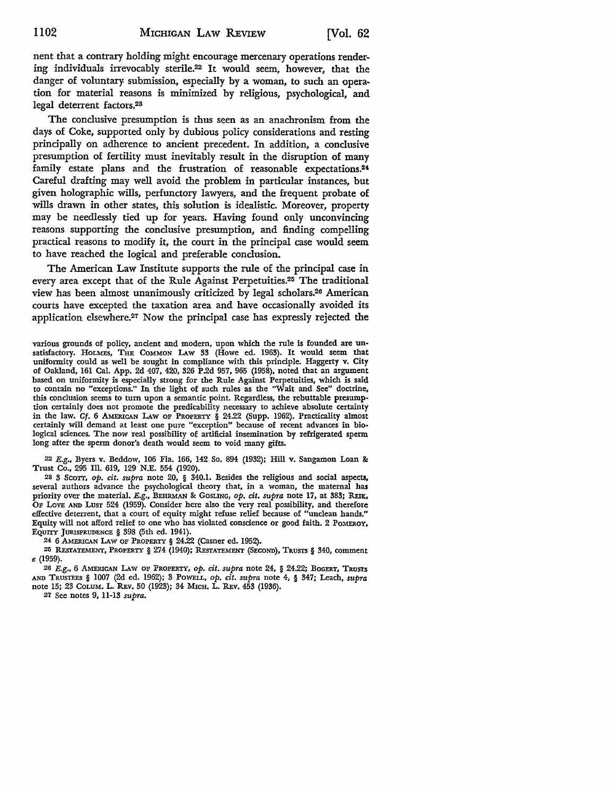nent that a contrary holding might encourage mercenary operations rendering individuals irrevocably sterile.22 It would seem, however, that the danger of voluntary submission, especially by a woman, to such an operation for material reasons is minimized by religious, psychological, and legal deterrent factors.<sup>23</sup>

The conclusive presumption is thus seen as an anachronism from the days of Coke, supported only by dubious policy considerations and resting principally on adherence to ancient precedent. In addition, a conclusive presumption of fertility must inevitably result in the disruption of many family estate plans and the frustration of reasonable expectations.<sup>24</sup> Careful drafting may well avoid the problem in particular instances, but given holographic wills, perfunctory lawyers, and the frequent probate of wills drawn in other states, this solution is idealistic. Moreover, property may be needlessly tied up for years. Having found only unconvincing reasons supporting the conclusive presumption, and finding compelling practical reasons to modify it, the court in the principal case would seem to have reached the logical and preferable conclusion.

The American Law Institute supports the rule of the principal case in every area except that of the Rule Against Perpetuities.25 The traditional view has been almost unanimously criticized by legal scholars.26 American courts have excepted the taxation area and have occasionally avoided its application elsewhere.27 Now the principal case has expressly rejected the

22 E.g., Byers v. Beddow, 106 Fla. 166, 142 So. 894 (1932); Hill v. Sangamon Loan &: Trust Co., 295 Ill. 619, 129 N.E. 554 (1920).

23 3 Scorr, *op. cit. supra* note 20, § 340.1. Besides the religious and social aspects, several authors advance the psychological theory that, in a woman, the maternal **has**  priority over the material. E.g., BEHRMAN & GOSLING, *op. cit. supra* note 17, at 383; REIK, OF LOVE AND LUST 524 (1959). Consider here also the very real possibility, and therefore effective deterrent, that a court of equity might refuse relief because of "unclean hands." Equity will not afford relief to one who has violated conscience or good faith. 2 PoMEROY, EQUITY JURISPRUDENCE § 398 (5th ed. 1941).

24 6 AMERICAN LAw OF PROPERTY§ 24.22 (Casner ed. 1952).

25 RESTATEMENT, PROPERTY § 274 (1940); RESTATEMENT (SECOND), TRUSTS § 340, comment e (1959).

26 E.g., 6 AMERICAN LAw OF PROPERTY, *op. cit. supra* note 24, § 24.22; BOGERT, **TRUSTS**  AND TRUSTEES § 1007 (2d ed. 1962); 3 PowELL, *op. cit. supra* note 4, § 347; Leach, *supra*  note 15; 23 CoLUM. L. REv. 50 (1923); 34 M1cH. L. REv. 453 (1936).

27 See notes 9, 11-13 *supra.* 

various grounds of policy, ancient and modem, upon which the rule is founded are unsatisfactory. HOLMES, THE COMMON LAw 33 (Howe ed. 1963). It would seem that uniformity could as well be sought in compliance with this principle. Haggerty v. City of Oakland, 161 Cal. App. 2d 407, 420, 326 P.2d 957, 965 (1958), noted that an argument based on uniformity is especially strong for the Rule Against Perpetuities, which is said to contain no "exceptions." In the light of such rules as the "Wait and See" doctrine, this conclusion seems to tum upon a semantic point. Regardless, the rebuttable presumption certainly does not promote the predicability necessary to achieve absolute certainty in the law. *Cf.* 6 AMERICAN LAw OF PROPERTY § 24.22 (Supp. 1962). Practicality almost certainly will demand at least one pure "exception" because of recent advances in biological sciences. The now real possibility of artificial insemination by refrigerated sperm long after the sperm donor's death would seem to void many gifts.